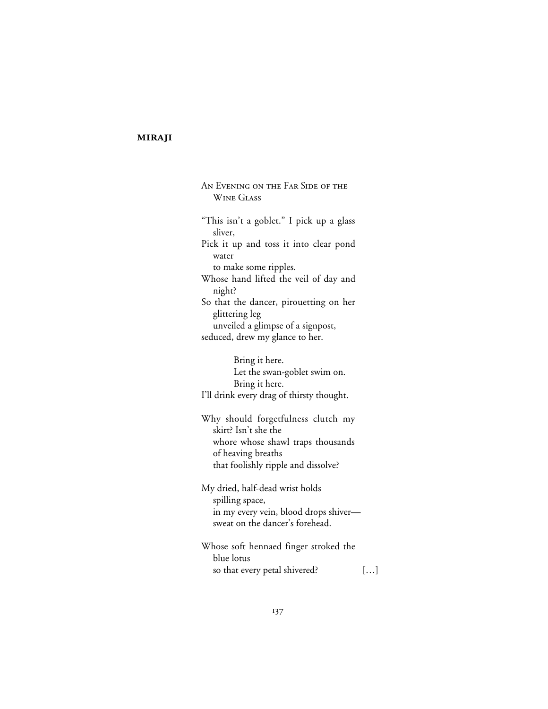# **MIRAJI**

AN EVENING ON THE FAR SIDE OF THE **WINE GLASS** "This isn't a goblet." I pick up a glass sliver, Pick it up and toss it into clear pond water to make some ripples. Whose hand lifted the veil of day and night? So that the dancer, pirouetting on her glittering leg unveiled a glimpse of a signpost, seduced, drew my glance to her. Bring it here. Let the swan-goblet swim on. Bring it here. I'll drink every drag of thirsty thought. Why should forgetfulness clutch my skirt? Isn't she the whore whose shawl traps thousands of heaving breaths that foolishly ripple and dissolve? My dried, half-dead wrist holds spilling space, in my every vein, blood drops shiver—

Whose soft hennaed finger stroked the blue lotus so that every petal shivered? […]

sweat on the dancer's forehead.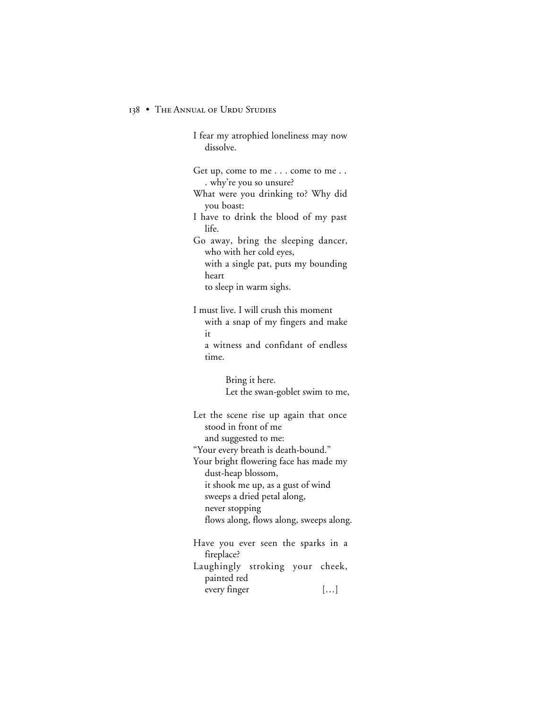#### 138 • THE ANNUAL OF URDU STUDIES

I fear my atrophied loneliness may now dissolve. Get up, come to me . . . come to me . . . why're you so unsure? What were you drinking to? Why did you boast: I have to drink the blood of my past life. Go away, bring the sleeping dancer, who with her cold eyes, with a single pat, puts my bounding heart to sleep in warm sighs. I must live. I will crush this moment with a snap of my fingers and make it a witness and confidant of endless time. Bring it here. Let the swan-goblet swim to me, Let the scene rise up again that once stood in front of me and suggested to me: "Your every breath is death-bound." Your bright flowering face has made my dust-heap blossom, it shook me up, as a gust of wind sweeps a dried petal along, never stopping flows along, flows along, sweeps along. Have you ever seen the sparks in a fireplace? Laughingly stroking your cheek, painted red

every finger […]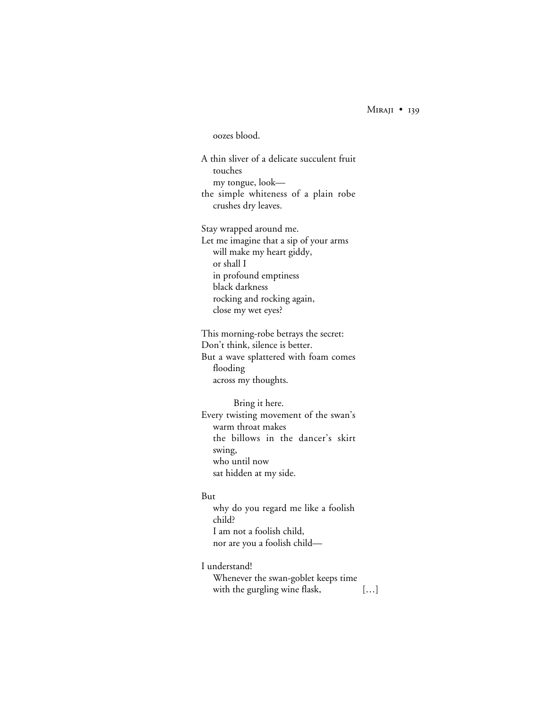$MIRAJI$  • 139

# oozes blood.

A thin sliver of a delicate succulent fruit touches my tongue, look the simple whiteness of a plain robe crushes dry leaves.

Stay wrapped around me. Let me imagine that a sip of your arms will make my heart giddy, or shall I in profound emptiness black darkness rocking and rocking again, close my wet eyes?

This morning-robe betrays the secret: Don't think, silence is better. But a wave splattered with foam comes flooding across my thoughts.

Bring it here. Every twisting movement of the swan's warm throat makes the billows in the dancer's skirt swing, who until now sat hidden at my side.

#### But

why do you regard me like a foolish child? I am not a foolish child, nor are you a foolish child—

I understand!

Whenever the swan-goblet keeps time with the gurgling wine flask, [...]